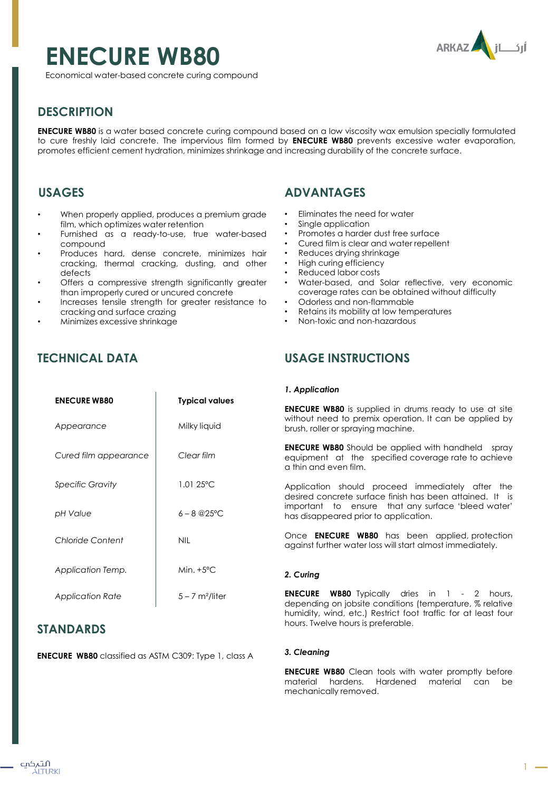# **ENECURE WB80**



Economical water-based concrete curing compound

# **DESCRIPTION**

**ENECURE WB80** is a water based concrete curing compound based on a low viscosity wax emulsion specially formulated to cure freshly laid concrete. The impervious film formed by **ENECURE WB80** prevents excessive water evaporation, promotes efficient cement hydration, minimizes shrinkage and increasing durability of the concrete surface.

## **USAGES**

- When properly applied, produces a premium grade film, which optimizes water retention
- Furnished as a ready-to-use, true water-based compound
- Produces hard, dense concrete, minimizes hair cracking, thermal cracking, dusting, and other defects
- Offers a compressive strength significantly greater than improperly cured or uncured concrete
- Increases tensile strength for greater resistance to cracking and surface crazing

**ENECURE WB80 Typical values**

**ENECURE WB80** classified as ASTM C309: Type 1, class A

Milky liquid

*Clear film*

1.01 25ºC

 $6 - 8 @25$ °C

Min. +5ºC

 $5 - 7$  m<sup>2</sup>/liter

NIL

• Minimizes excessive shrinkage

# **TECHNICAL DATA**

*Appearance*

*Specific Gravity*

*Chloride Content* 

*Application Temp.*

*Application Rate*

**STANDARDS**

*pH Value*

*Cured film appearance*

# **ADVANTAGES**

- Eliminates the need for water
- Single application
- Promotes a harder dust free surface
- Cured film is clear and water repellent
- Reduces drying shrinkage
- High curing efficiency
- Reduced labor costs
- Water-based, and Solar reflective, very economic coverage rates can be obtained without difficulty
- Odorless and non-flammable
- Retains its mobility at low temperatures
- Non-toxic and non-hazardous

# **USAGE INSTRUCTIONS**

#### *1. Application*

**ENECURE WB80** is supplied in drums ready to use at site without need to premix operation. It can be applied by brush, roller or spraying machine.

**ENECURE WB80** Should be applied with handheld spray equipment at the specified coverage rate to achieve a thin and even film.

Application should proceed immediately after the desired concrete surface finish has been attained. It is important to ensure that any surface 'bleed water' has disappeared prior to application.

Once **ENECURE WB80** has been applied, protection against further water loss will start almost immediately.

#### *2. Curing*

**ENECURE WB80** Typically dries in 1 - 2 hours, depending on jobsite conditions (temperature, % relative humidity, wind, etc.) Restrict foot traffic for at least four hours. Twelve hours is preferable.

#### *3. Cleaning*

**ENECURE WB80** Clean tools with water promptly before material hardens. Hardened material can be mechanically removed.

1

التہکپ ÁITURKI